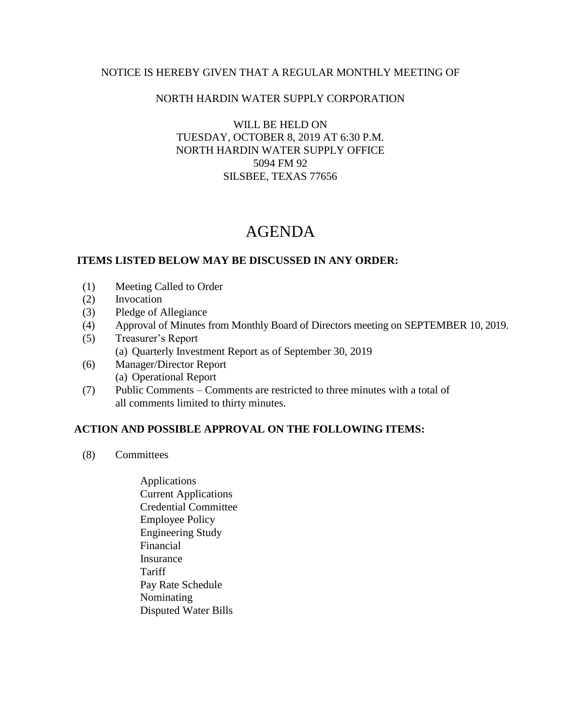### NOTICE IS HEREBY GIVEN THAT A REGULAR MONTHLY MEETING OF

### NORTH HARDIN WATER SUPPLY CORPORATION

WILL BE HELD ON TUESDAY, OCTOBER 8, 2019 AT 6:30 P.M. NORTH HARDIN WATER SUPPLY OFFICE 5094 FM 92 SILSBEE, TEXAS 77656

# AGENDA

### **ITEMS LISTED BELOW MAY BE DISCUSSED IN ANY ORDER:**

- (1) Meeting Called to Order
- (2) Invocation
- (3) Pledge of Allegiance
- (4) Approval of Minutes from Monthly Board of Directors meeting on SEPTEMBER 10, 2019.
- (5) Treasurer's Report (a) Quarterly Investment Report as of September 30, 2019
- (6) Manager/Director Report (a) Operational Report
- (7) Public Comments Comments are restricted to three minutes with a total of all comments limited to thirty minutes.

## **ACTION AND POSSIBLE APPROVAL ON THE FOLLOWING ITEMS:**

- (8) Committees
	- Applications Current Applications Credential Committee Employee Policy Engineering Study Financial Insurance Tariff Pay Rate Schedule Nominating Disputed Water Bills